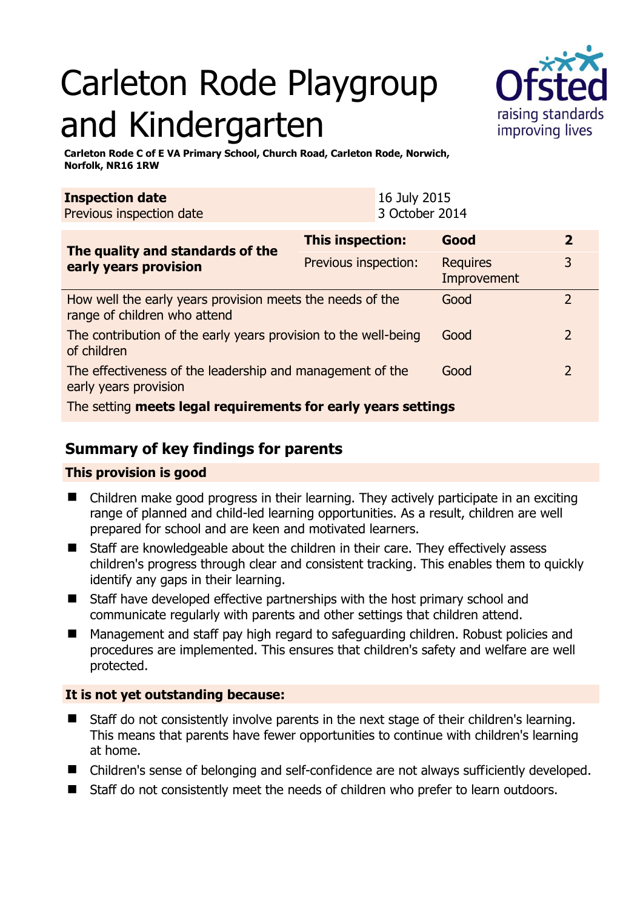# Carleton Rode Playgroup and Kindergarten



**Carleton Rode C of E VA Primary School, Church Road, Carleton Rode, Norwich, Norfolk, NR16 1RW** 

| <b>Inspection date</b><br>Previous inspection date                                        |                         | 16 July 2015<br>3 October 2014 |                                |                |  |
|-------------------------------------------------------------------------------------------|-------------------------|--------------------------------|--------------------------------|----------------|--|
| The quality and standards of the<br>early years provision                                 | <b>This inspection:</b> |                                | Good                           | $\overline{2}$ |  |
|                                                                                           | Previous inspection:    |                                | <b>Requires</b><br>Improvement | 3              |  |
| How well the early years provision meets the needs of the<br>range of children who attend |                         |                                | Good                           | $\overline{2}$ |  |
| The contribution of the early years provision to the well-being<br>of children            |                         |                                | Good                           | $\overline{2}$ |  |
| The effectiveness of the leadership and management of the<br>early years provision        |                         |                                | Good                           | $\overline{2}$ |  |
| The setting meets legal requirements for early years settings                             |                         |                                |                                |                |  |

# **Summary of key findings for parents**

## **This provision is good**

- Children make good progress in their learning. They actively participate in an exciting range of planned and child-led learning opportunities. As a result, children are well prepared for school and are keen and motivated learners.
- Staff are knowledgeable about the children in their care. They effectively assess children's progress through clear and consistent tracking. This enables them to quickly identify any gaps in their learning.
- Staff have developed effective partnerships with the host primary school and communicate regularly with parents and other settings that children attend.
- Management and staff pay high regard to safeguarding children. Robust policies and procedures are implemented. This ensures that children's safety and welfare are well protected.

## **It is not yet outstanding because:**

- Staff do not consistently involve parents in the next stage of their children's learning. This means that parents have fewer opportunities to continue with children's learning at home.
- Children's sense of belonging and self-confidence are not always sufficiently developed.
- Staff do not consistently meet the needs of children who prefer to learn outdoors.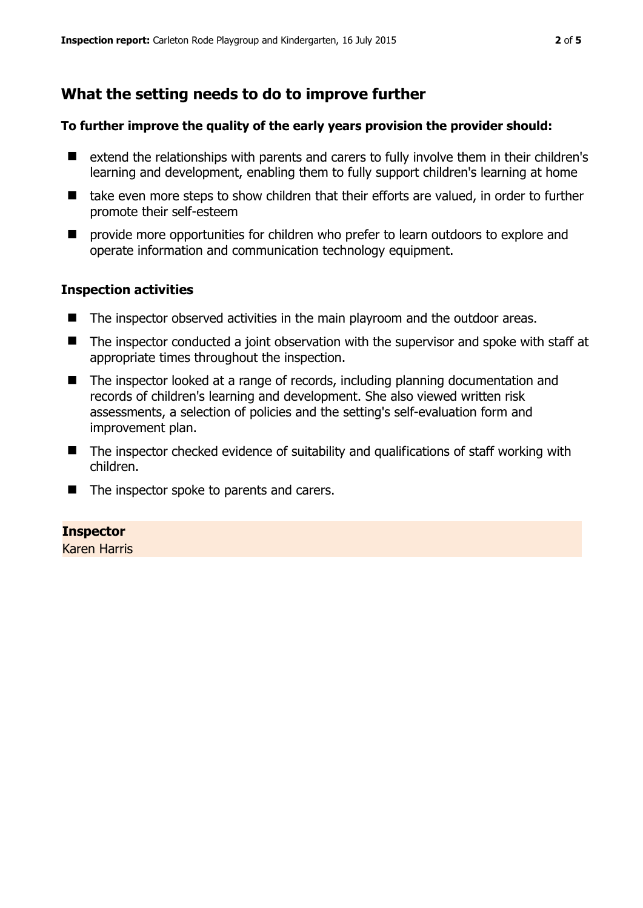## **What the setting needs to do to improve further**

#### **To further improve the quality of the early years provision the provider should:**

- extend the relationships with parents and carers to fully involve them in their children's learning and development, enabling them to fully support children's learning at home
- take even more steps to show children that their efforts are valued, in order to further promote their self-esteem
- $\blacksquare$  provide more opportunities for children who prefer to learn outdoors to explore and operate information and communication technology equipment.

#### **Inspection activities**

- The inspector observed activities in the main playroom and the outdoor areas.
- The inspector conducted a joint observation with the supervisor and spoke with staff at appropriate times throughout the inspection.
- The inspector looked at a range of records, including planning documentation and records of children's learning and development. She also viewed written risk assessments, a selection of policies and the setting's self-evaluation form and improvement plan.
- The inspector checked evidence of suitability and qualifications of staff working with children.
- The inspector spoke to parents and carers.

#### **Inspector**

Karen Harris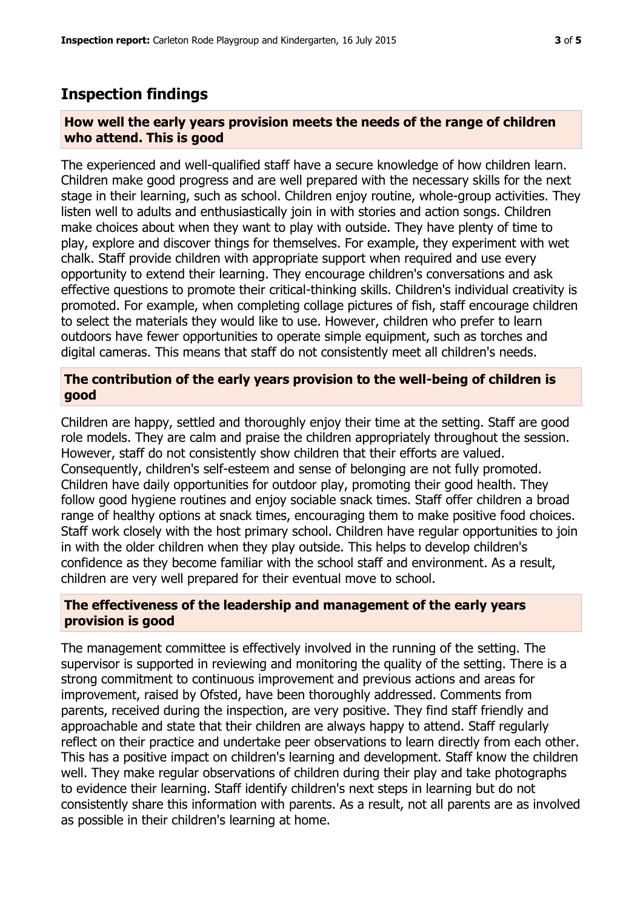## **Inspection findings**

#### **How well the early years provision meets the needs of the range of children who attend. This is good**

The experienced and well-qualified staff have a secure knowledge of how children learn. Children make good progress and are well prepared with the necessary skills for the next stage in their learning, such as school. Children enjoy routine, whole-group activities. They listen well to adults and enthusiastically join in with stories and action songs. Children make choices about when they want to play with outside. They have plenty of time to play, explore and discover things for themselves. For example, they experiment with wet chalk. Staff provide children with appropriate support when required and use every opportunity to extend their learning. They encourage children's conversations and ask effective questions to promote their critical-thinking skills. Children's individual creativity is promoted. For example, when completing collage pictures of fish, staff encourage children to select the materials they would like to use. However, children who prefer to learn outdoors have fewer opportunities to operate simple equipment, such as torches and digital cameras. This means that staff do not consistently meet all children's needs.

#### **The contribution of the early years provision to the well-being of children is good**

Children are happy, settled and thoroughly enjoy their time at the setting. Staff are good role models. They are calm and praise the children appropriately throughout the session. However, staff do not consistently show children that their efforts are valued. Consequently, children's self-esteem and sense of belonging are not fully promoted. Children have daily opportunities for outdoor play, promoting their good health. They follow good hygiene routines and enjoy sociable snack times. Staff offer children a broad range of healthy options at snack times, encouraging them to make positive food choices. Staff work closely with the host primary school. Children have regular opportunities to join in with the older children when they play outside. This helps to develop children's confidence as they become familiar with the school staff and environment. As a result, children are very well prepared for their eventual move to school.

#### **The effectiveness of the leadership and management of the early years provision is good**

The management committee is effectively involved in the running of the setting. The supervisor is supported in reviewing and monitoring the quality of the setting. There is a strong commitment to continuous improvement and previous actions and areas for improvement, raised by Ofsted, have been thoroughly addressed. Comments from parents, received during the inspection, are very positive. They find staff friendly and approachable and state that their children are always happy to attend. Staff regularly reflect on their practice and undertake peer observations to learn directly from each other. This has a positive impact on children's learning and development. Staff know the children well. They make regular observations of children during their play and take photographs to evidence their learning. Staff identify children's next steps in learning but do not consistently share this information with parents. As a result, not all parents are as involved as possible in their children's learning at home.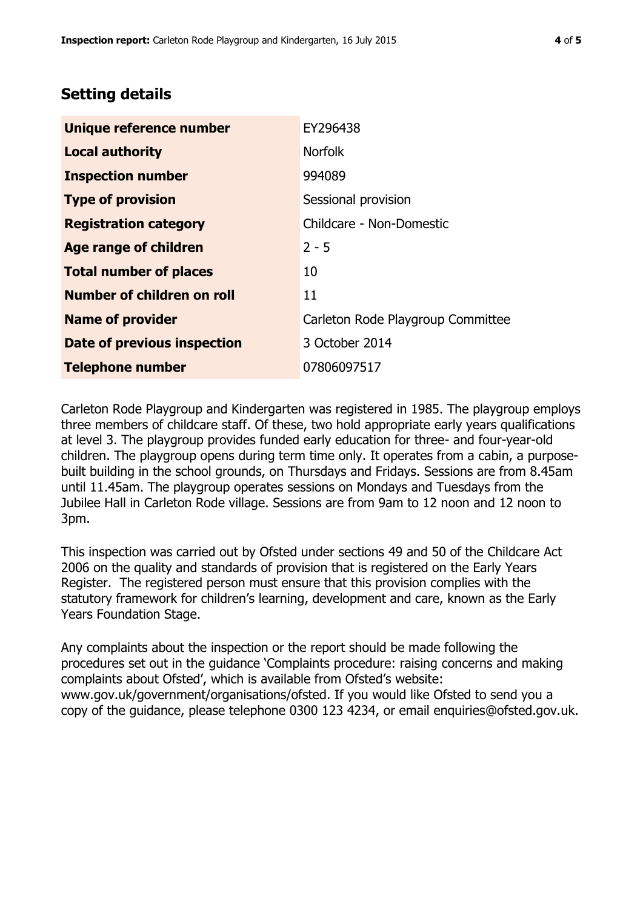## **Setting details**

| Unique reference number       | EY296438                          |  |
|-------------------------------|-----------------------------------|--|
| <b>Local authority</b>        | <b>Norfolk</b>                    |  |
| <b>Inspection number</b>      | 994089                            |  |
| <b>Type of provision</b>      | Sessional provision               |  |
| <b>Registration category</b>  | Childcare - Non-Domestic          |  |
| Age range of children         | $2 - 5$                           |  |
| <b>Total number of places</b> | 10                                |  |
| Number of children on roll    | 11                                |  |
| <b>Name of provider</b>       | Carleton Rode Playgroup Committee |  |
| Date of previous inspection   | 3 October 2014                    |  |
| <b>Telephone number</b>       | 07806097517                       |  |

Carleton Rode Playgroup and Kindergarten was registered in 1985. The playgroup employs three members of childcare staff. Of these, two hold appropriate early years qualifications at level 3. The playgroup provides funded early education for three- and four-year-old children. The playgroup opens during term time only. It operates from a cabin, a purposebuilt building in the school grounds, on Thursdays and Fridays. Sessions are from 8.45am until 11.45am. The playgroup operates sessions on Mondays and Tuesdays from the Jubilee Hall in Carleton Rode village. Sessions are from 9am to 12 noon and 12 noon to 3pm.

This inspection was carried out by Ofsted under sections 49 and 50 of the Childcare Act 2006 on the quality and standards of provision that is registered on the Early Years Register. The registered person must ensure that this provision complies with the statutory framework for children's learning, development and care, known as the Early Years Foundation Stage.

Any complaints about the inspection or the report should be made following the procedures set out in the guidance 'Complaints procedure: raising concerns and making complaints about Ofsted', which is available from Ofsted's website: www.gov.uk/government/organisations/ofsted. If you would like Ofsted to send you a copy of the guidance, please telephone 0300 123 4234, or email enquiries@ofsted.gov.uk.